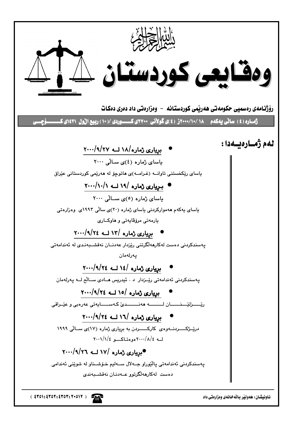

ناونیشان : ههولیّر بالّه خانهی وهزارهتی داد

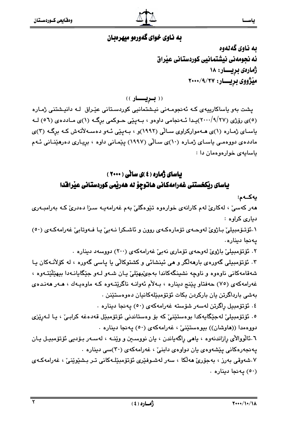### به ناوي خواي گهوريو ميهروبان

ىه ناوى گەنەوە ئه نجومهني نيشتمانيي كوردستاني عيّراق ژمارەى بريسار: ١٨ میزژووی بریسار: ۲۰۰۰/۹/۲۷

(( **بـريـــار** ))

یشت بەو یاساکارییەی کـه ئەنجومـەنى نیـشتمانیى کوردسـتانى عیّـراق لـه دانیـشتنى ژمـارە (٥)ی رۆژی (٢٧/٩/٢٧)پيدا ئـهنجامي داوهو ، بـهيێي حـوکمي برگـه (١)ی مـاددهی (٥٦) لـه یاسای ژماره (۱)ی هـهموارکراوی سـالّی (۱۹۹۲)و ، بـهییّی ئـهو دهسـهلاّتهش کـه برگـه (۳)ی ماددهی دووهمی یاسای ژماره (۱۰)ی سالی (۱۹۹۷) ییمانی داوه ، بریاری دهرهینانی ئـهم باسايهي خوارهوهمان دا:

### باسای ژماره ( ٤ )ی سانی ( ٢٠٠٠ ) یاسای ریکخستنی غهرامهکانی هاتوچو له ههریمی کوردستانی عیرافدا

يەكـەم: هەر كەسىٚ ، لەكارىٚ لەم كارانەی خوارەوە تێوەگلىٚ بەم غەرامەيـە سىزا دەدرىٚ كـە بەرامبـەری دباری کراوه :

٠.ئۆتىۆمبىلى باژوي لەوجەي تۆمارەكەي روون و ئاشكرا نەبى يا فەوتابى غەرامەكەي (٥٠) يەنجا دينارە.

۲. ئۆتۆمبىلى باژوى لەوحەي تۆمارى نەبى غەرامەكەي (۲۰۰) دووسەد دىنارە .

۴. ئۆتۆمبیلی گەورەی بارھەلگر و ھی ئینشائی و کشتوکالی یا پاسی گەورە ، لە کۆلانـەکان يـا شهقامهکانی ناوهوه و ناوچه نشینگهکاندا بهجیٌبهێلیٚ پان شـهو لـهو جێگایانـهدا بیهێڵێتـهوه ، غەرامەكەي (٧٥) حەفتاو يېنج دېنارە ، بـﻪلاّم ئەوانـﻪ ناگرێتـﻪوە كـﻪ ماوەپـﻪك ، ھـﻪر ھەنـدەي بەشى بارداگرتن يان باركردن بكات ئۆتۆمبێلەكانيان دەوەستێنن .

٤. ئۆتۆمبىل راگرتن لەسەر شۆستە غەرامەكەي (٥٠) يەنجا دىنارە ٠

٥. ئۆتۆمبيلى لەجێگايەكدا بوەستێنى كە بۆ وەستاندنى ئۆتۆمبێل قەدەغە كرابى ،، يا لـەرێزى دووهمدا ((هاوشان)) بيوهستێنيّ ، غهرامهکهي (٥٠) يهنجا ديناره .

٦.ئالووالآی رازاندنەوه ، ياھی راگەياندن ، يان نووسىين و وينـه ، لەسـەر بـۆديى ئۆتۆمبيـل يـان پهنجهرهکانی پێشهوهی یان دواوهی دابنیْ ، غهرامهکهی (۳۰)سی دیناره .

٠٧شەوقى بەرز ، بەجۆرى ھەلكا ، سەر لەشىوفێرى ئۆتۆمبێلـﻪكانى تـر بـشێوێنى ، غەرامەكـﻪي (٥٠) يەنجا دېنارە .

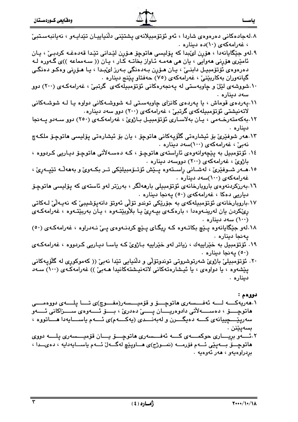| ومقايعى كسوردستتان | $\mathbb{Z}$                                                                                           | ياســا                                  |
|--------------------|--------------------------------------------------------------------------------------------------------|-----------------------------------------|
|                    | ۸.لەجادەكانى دەرەوەى شاردا ، ئەو ئۆتۆمبيلانەى پشتێنى دڵنياييـان تێدايـەو ، نەيانبەسـتبىّ               | ، غەرامەكەي (١٠)دە دىنارە .             |
|                    | ۹.لەو جێگايانەدا ، ھۆڕن لێبدا كە پۆليسى ھاتوچۆ ھۆرن لێدانى تێدا قەدەغـە كردبـێ ، يـان                  |                                         |
|                    | ئامێری هۆڕنی هەوایی ، یان هی هەمـﻪ ئـﺎواز بخاتـﻪ کـﺎر ، یـﺎن (( سـﻪمماعه ))ی گـﻪورە ﻟـﻪ                |                                         |
|                    | دەرەوەي ئۆتۆمبيـل دابنــێ ، يـان ھـۆرِن بـﻪدەنگى بـﻪرز لێبـدا ، يـا ھـۆرنى وەكـو دەنگـى                |                                         |
|                    | گيانەوران بەكاربێنىٚ ، غەرامەكەى (٧٥) حەفتاو پێنج دىنارە  .                                            |                                         |
|                    | ۰۱۰شووشهی لێل و چاوبهستی له پهنجهرهکانی ئۆتۆمبیلهکهی  گرتبیْ ، غهرامهکـهی (۲۰۰) دوو                    |                                         |
|                    |                                                                                                        | سەد دينارە .                            |
|                    | ۰۱۱.پهرده ی قوماش ، یا پهرده ی کانزای چاوبهستی لـه شووشـهکانی دواوه یـا لـه شوشـهکانی                  |                                         |
|                    | لاتەنيشتى ئۆتۆمبىلەكەى گرتبى ، غەرامەكەى (٢٠٠) دوو سەد دينارە .                                        |                                         |
|                    | ۰۱۲ بهکهمتهرخـهمی ، یـان بهلاسـاری ئۆتۆمبیـل بـاژویٚ ، غهرامهکـهی (۲۵۰) دوو سـهدو پــهنجا              |                                         |
|                    |                                                                                                        | ديناره .                                |
|                    | ۱۳.مەر شوفێرێ بۆ ئیشارەتى گلٚۆپەكانى ماتوچۆ ، يان بۆ ئیشارەتى پۆلیسى ماتوچۆ ملكەچ                      |                                         |
|                    |                                                                                                        | نەبىؒ ، غەرامەكەي (١٠٠)سەد دينارە .     |
|                    | ١٤. ئۆتۆمبيل به پێچەوانەوەى ئاراستەى ھاتوچۆ ، كـﻪ دەسـﻪلآتى ھاتوچۆ ديـاريى كـردووە ،                   |                                         |
|                    |                                                                                                        | باژوی ، غەرامەكەی (۲۰۰) دووسەد دىنارە . |
|                    | ١٥.مـــەر شــوفێرێ ، لەشــانى ڕاســتەوە پــێش ئۆتــۆمبيلێکى تــر بکــەوێ و بەمەڵـﻪ تێپــەڕێ ،          |                                         |
|                    |                                                                                                        | غەرامەكەى (١٠٠)سەد دېنارە .             |
|                    | ۰۱٦بەرزکردنەوەی بارويارخانەی ئۆتۆمبىلى بارھەلگر ، بەرزتر لەو ئاستە <i>ى</i> كە پۆليسى <b>م</b> اتوچۆ   |                                         |
|                    | دیاریی دهکا ، غەرامەکەی (٥٠) پەنجا دینارە ٠                                                            |                                         |
|                    | ۱۷.باروبارخانەی ئۆتۆمبیلەكەی بە جۆرێکی توندو تۆلّی ئەوتۆ دانەپۆشیبیٚ كە نەيـەلّیٚ لـەكاتى              |                                         |
|                    | ړینکردن یان لهرینــهوهدا ، بارهکــهی بپــهړیٰ یــا بلاْوبیێتــهوه ، یــان بهربیێتــهوه ، غهرامهکــهی   |                                         |
|                    |                                                                                                        | ۰ سهد دیناره) (۱۰۰)                     |
|                    | ۱۸.لهو جێگایانهوه پـێچ بکاتـهوه کـه رِیگـای پـێچ کردنـهوهی پـێ نـهدراوه ، غهرامهکـهی (٥٠)              |                                         |
|                    |                                                                                                        | يەنجا دينارە .                          |
|                    | ۱۹. ئۆتۆمبیل به خێراییەك ، زیاتر لەو خێراییە بـاژوئ كـه یاسـا دیـاریی كـردووه ، غەرامەكـە <i>ى</i>     |                                         |
|                    |                                                                                                        | (٥٠) يەنجا دېنارە .                     |
|                    | ۲۰. ئۆتۆمبیلی باژوی شەرتوشروتی توندوتۆلی و دلّنیایی تێدا نەبیْ (( کەموکورِی لە گلّۆپەکانی              |                                         |
|                    | پێشەوە ، يا دواوەي ، يا ئيشارەتەكانى لاتەنيشتەكانيدا ھـەبىّ )) غەرامەكـەي (١٠٠) سـەد                   |                                         |
|                    |                                                                                                        | ديناره .                                |
|                    |                                                                                                        |                                         |
|                    |                                                                                                        | دووهم :                                 |
|                    | ۰۱مەريەكــــە لـــــە ئەفـــــسەرى ھاتوچـــــۆ و قۆمىيــــسەر(مفــــوچ)ى تـــــا پلـــــەى دووەمـــــى |                                         |
|                    |                                                                                                        |                                         |
|                    | سەرپێــــچییانەی کـــــە دەيگـــــرن و لەبەنــــدی (يەكـــــەم)ی ئــــەم ياســــايەدا ھــــاتووە ،     |                                         |
|                    |                                                                                                        | بسەيێنن .                               |

بساسع

۲.نَـــەو بڕیــــاری حوکمــــەی کــــە ئەفــــسەری ھاتوچــــۆ یــــان قۆمیــــسەری پلـــــە دووی<br>ھاتوچـــۆ بـــەپێی ئـــەم فۆرمـــە (نمـــوژج)ی ھـــاوپێچ لەگـــەلّ ئـــەم یاســـایەدایە ، دەیـــدا ، بردراوهيەو ، ھەر ئەوەيە .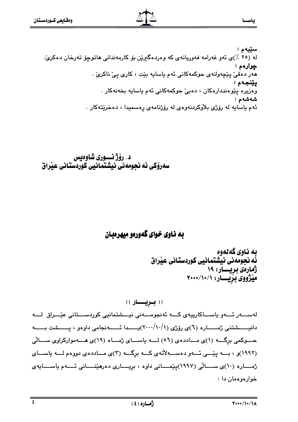سێيەم : له (٢٥ ٪)ي ئەو غەرامە فەوريانەي كە وەردەگىريْن بۆ كارمەندانى ھاتوچۆ تەرخان دەكرىّ. چوارهم : هەر دەقى پێچەوانەي حوكمەكانى ئەم ياسايە بێت ، كارى پىّ ناكرىّ . يێنجەم : وەزيرە پێوەنددارەكان ، دەبى حوكمەكانى ئەم ياسايە بخەنەكار . شەشەم : ئهم ياسايه له رۆژى بلاوكردنهوەي له رۆژنامەي رەسمىدا ، دەخرێتەكار .

د. رۆژ نـــورى شاوەيس سەرۆكى ئە نجومەنى نيشتمانيى كوردستانى عيراق

### به ناوي خواي گهوريو ميهروبان

ىە ناوي گەنەوە ئُه نجوِّمه ني نيشتمانيي كوردستاني عيْراق ژمارەي بريسـار: ١٩ مێژووی بزیسار: ۰/ ۲۰۰۰/۱۰/۱

(( بىريسسار )) لەسىسەر ئىسەو باسساكارىيەي كىسە ئەنجومىسەنى نېسىشتمانىي كوردسىستانى عيّىراق لىسە دانیـــــــشتنی ژمــــــــاره (٦)ی رۆژی (١٠٠/١٠/١)پـــــــدا ئـــــــــه نجامی داوهو ، پــــــشت بــــــه حسوکمی برگه (۱)ی مساددهی (٥٦) لسه یاسسای ژمساه (١٩)ی هسه موارکراوی سسالی (۱۹۹۲)و ، به پیّسی ئهو دهستهلاّتهی کمه برِگه (۲)ی مساددهی دووهم لمعه یاسسای ژهـــاره (١٠)ى ســـالّى (١٩٩٧)پێمـــانى داوه ، بريــــارى دەرهێنــــانى ئــــهم ياســــايهى خوارهوهمان دا :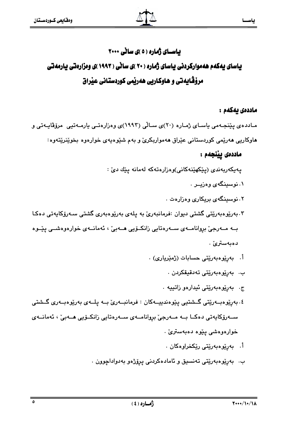# باسای ژماره ( ٥ )ی سانی ۲۰۰۰ یاسای یهکهم ههموارکردنی یاسای ژماره ( ۲۰ )ی سانی ( ۱۹۹۳ )ی ومزارهتی یارمهتی

# مرؤڤايەتى و ھاوكاريى ھەرپمى كوردستانى عيراق

### ماددەى يەكەم :

مـادده ی پێنجـهمی یاسـای ژمـاره (۲۰)ی سـالّی (۱۹۹۳)ی وهزارهتـی یارمـهتیی مرۆڤاپـهتی و هاوکاريي هەرێمي کوردستاني عێراق هەمواریکرێ و بەم شێوەپەي خوارەوە بخوێنرێتەوە:

### ماددەى يېنجەم :

يەيكەريەندى (يێكھێنەكانى)وەزارەتەكە لەمانە يێك دىٰ :

- ۰. نوسینگەی وەزیــر .
- ۰. نوسینگهی بریکاری وهزارهت
- ۳.بەرێوەبەرێتى گشتى دىوان :فرمانبەرێ بە يلەی بەرێوەبەری گشتى سـەرۆكاپەتى دەكـا بــه مــهرجے ٚ بروانامــهى ســهرەتايى زانكــوّيى هــهي ٚ ، ئهمانــهى خوارەوەشــى يێــوه دەيەسترى`.
	- أ. بەريوەبەريتى حسابات (ژميريارى) .
		- ب. بەريوەبەريتى تەدقىقكردن .
		- ج. بەرپوەبەرپتى ئيدارەو زاتييە .
- ٤. بەرێوەبــەرێتى گــشتيى پێوەندىيــەكان : فرمانبــەرێ بــە يلــەي بەرێوەبــەرى گــشتى ســەرۆكايەتى دەكــا بــە مــەرجىّ بروانامــەي ســەرەتايى زانكــۆيى ھــەبىّ ، ئەمانــەي خوارەوەشى يێوە دەبەسترىٚ .
	- أ. بەريوەبەريتى ريكخراوەكان .
	- ب. بەرێوەبەرێتى تەنسىق و ئامادەكردنى پرۆژەو بەدواداچوون .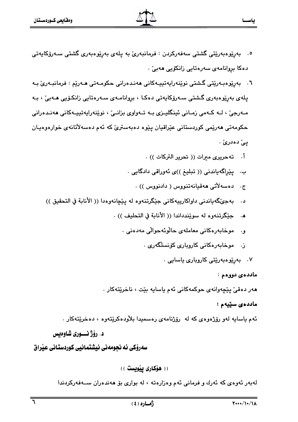- <sup>ە</sup>. بەرێوەبەرێتى گشتى سەڧەركردن : ڧرمانبەرێ بە پلەي بەرپێوەبەرى گشتى سـەرۆكايەتى دەكا بروانامەي سەرەتايى زانكۆيى ھەبى .
- ٦. بەرێوەبـەرێتى گـشتى نوێنەراپەتىيـەكانى ھەنـدەرانى حكومـەتى ھـەرێم : فرمانبـەرێ بـە يلەي بەرێوەبەرى گشتى سەرۆكاپەتى دەكـا ، بروانامـەي سـەرەتايى زانكـۆپى ھـەبىٚ ، بـە مــهرجيٰ ، لــه کــهمي زمــاني ئينگليــزي بــه تــهواوي بزانــيٰ ، نوێنهرايهتييــهکاني ههنـدهراني حکومەتى ھەرێمى کوردستانى عێراقيان پێوە دەبەسترێ کە ئەم دەسەلاتانەي خوارەوەيـان بے ٌ دهدری ٌ .
	- أ. ته حريرى ميرات (( تحرير التركات )) .
	- ب. يێراگەياندنى (( تبليغ ))ى ئەوراقى دادگايى .
		- دەسەلاتى ھەقيانەتنووس ( دادنووس )) .  $\cdot$   $\tau$
	- د. بهجيِّگهياندني داواكارييهكاني جێگرتنهوه له پێچانهوهدا (( الأنابة في التحقيق ))
		- ه. حِيْكَرتنَّهوه له سويْندداندا (( الأنابة في التحليف )) .
			- موخابەرەكانى معاملەي حالوئەحوالى مەدەنى ٠ **و.** 
				- ز. موخابەرەكانى كاروپارى كۆنسلگەرى .
					- ۰۷ بەرتومبەرتتى كاروبار*ى* ياسايى .

ماددەي دووەم :

هەر دەقى پێچەوانەي حوكمەكانى ئەم ياسايە بێت ، ناخرێتەكار .

#### ماددەي سێپەم :

ئهم ياسايه لهو رۆژەوەي كه له رۆژنامەي رەسميدا بلاّودەكرێتەوە ، دەخرێتەكار .

د. رؤژ نــوري شاوهيس

سەرۆكى ئە نجومەنى نېشتمانيى كوردستانى عيراق

(( هۆكارى ييويست))

لەبەر ئەوەي كە ئەرك و فرمانى ئەم وەزارەتە ، لە بوارى بۆ ھەندەران ســەفەركردندا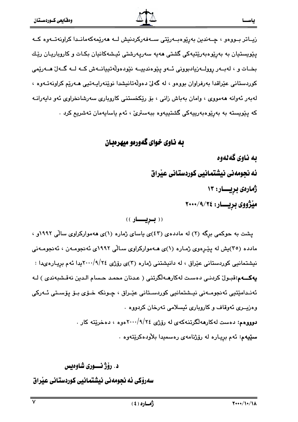زیـاتر بـووهو ، چـهندین بهرِیوهبـهریتی سـهفهرکردنیش لــه ههریمهکهمانـدا کراونهتــهوه کــه يێويستيان به بەرێوەبەرێتپەكى گشتى ھەپە سەرپەرشتى ئېشەكانيان بكـات و كاروپاريـان رێك بخـات و ، لهبـهر روولـهزيادبووني ئـهو پێوهندييــه نێودهوڵهتييانــهش كــه لــه گــهلٌ هــهرێمي کوردستانی عێراقدا بەرفراوان بووەو ، لە گەلىٰ دەولْەتانىشدا نوێنەراپـەتىي ھـەرێم كراونەتـەوە ، لەبەر ئەوانە ھەمووى ، وامان بەباش زانى ، بۆ رێكخستنى كاروبارى سەرشانخراوى ئەو دايەرانـە كه يێويسته به بەرێوەبەرييەكى گشتييەوە بېەسترىّ ، ئەم ياسايەمان تەشريم كرد .

### به ناوي خواي گهوريو ميهر ديان

ىە ناوي گەنەوە ئه نجومهنی نیشتمانیی کوردستانی عیّراق ژمارەي بريــــار: ۱۳ مێژووي بريســار: ٢٠٠٠/٩/٢٤

(( **بـریـــار** ))

پشت به حوکمی برِگه (۲) له ماددهی (٤٣)ی یاسای ژماره (۱)ی ههموارکراوی سالّی ۱۹۹۲و ، مادده (۳۰)یش له یپّـرهوی ژمـاره (۱)ی هـهموارکراوی سـالّی ۱۹۹۲ی ئهنجومـهن ، ئهنجومـهنی نیشتمانیی کوردستانی عیّراق ، له دانیشتنی ژماره (۳)ی روّژی ۲۶/۰۰/۹/۲٤پدا ئهم بریـاره $\omega$ دا : يهڪــهم:قبـولُ كردنـي دهسـت لهكارهــهلگرتني ( عـدنان محمـد حـسام الـدين نهقـشبهندي ) لـه ئەنىدامێتىي ئەنجومــەنى نيــشتمانىي كوردســتانى عێـراق ، چــونكە خــۆي بـۆ پۆسـتى ئــەركى وهزيــري ئهوقاف و كاروباري ئيسلامي تهرخان كردووه . دوووهم: دهست لهکارههلگرتنهکهی له رۆژی ۲۶/۰۰/۹/۲٤موه ، دهخریته کار . **سێیهم:** ئهم بږیـاره له رۆژنامهی رەسمیدا بلاّودەكرێتەوە .

د. رۆژ نسوري شاوەيس سەرۆكى ئە نحومەنى نىشتمانىي كوردستانى عىراق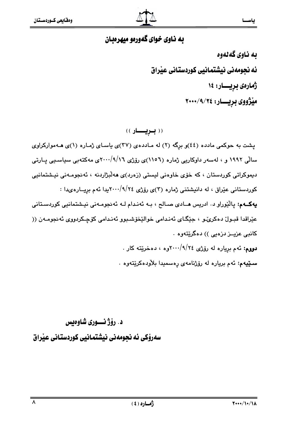### به ناوي خواي گهوريو ميهروبان

به ناوی گه لهوه ئه نجومهني نيشتمانيي كوردستاني عيراق ژمارەى بريسار: ١٤ مێژووی برپــــار: ٢٠٠٠/٩/٢٤

(( بویسار ))

پشت به حوکمی مادده (٤٤)و برِگه (٢) له مـادده ی (٣٧)ی یاسـای ژمـاره (١)ی هـهموارکراوی سالّی ۱۹۹۲ و ، لەسەر داوکاریی ژمارە (۱۱۰۲)ی رۆژی ۲۰۰/۹/۱٦ی مەکتەبی سیاسىی پـارتى دیموکراتی کوردستان ، که خوّی خاوهنی لیستی (زهرد)ی ههلّبژاردنه ، ئهنجومـهنی نیـشتمانیی کوردستانی عیّراق ، له دانیشتنی ژماره (۳)ی روّژی ۲/۰۰۰/۹/۲٤یدا ئهم برِیــارهىدا : پهکـهم: پالێوراو د. ادريس هــادی صـالح ، بـه ئهندام لـه ئهنجومـهنی نيـشتمانيی کوردسـتانی عێراقدا قبـولٌ دەكرىٌـو ، جێِگـاى ئەنـدامى خوالێخۆشـبوو ئەنـدامى كۆچـكردووى ئەنجومـەن (( کانبي عزيــز دزهيي )) دهگريٽهوه . دووم: ئهم برياره له رۆژى ٢٤/٩/٢٤ده ، دهخريته كار . **سـێيەم:** ئەم بريارە لە رۆژنامە*ى* رەسمىدا بلاّودەكرێتەوە .

# د. رۆژنسورى شاوەىس

سەرۆكى ئە نحومەنى نىشتمانىي كوردستانى عىراق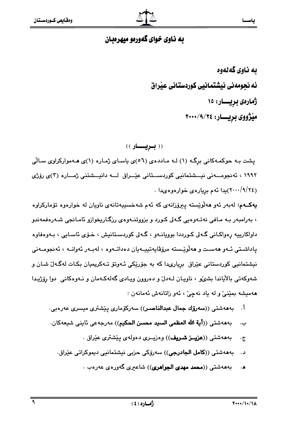ىە ناوي گەنەوە ئه نحومهني نيشتمانيي كوردستاني عيراق ژمارەى بريـــار: ١٥ مێژووي بريــــار: ٢٠٠٠/٩/٢٤

((بريسار))

یشت به حوکمهکانی برگه (۱) لـه مـاددهی (۵٦)ی یاسـای ژمـاره (۱)ی هـهموارکراوی سـالّی ۱۹۹۲ ، ئەنجومـــەنى نيـــشتمانيى كوردســـتانى عيّــراق لـــه دانيـــشتنى ژمـــارە (۳)ى رۆژى (٢٠٠٠/٩/٢٤)يدا ئهم بريارهي خوارهوهيدا .

يهکـهم: لهبهر ئهو ههڵوێسته پېرۆزانهي که ئهم شهخسيپهتانهي ناويان له خوارهوه تۆمارکراوه ، بەرامبەر بـه مـافى نەتـەوەيى گـەلى كـورد و بزووتنــەوەي رزگـاريخوازو ئامـانجى شـەرەفمەندو داواکاريپه رەواکـانى گـهلى کـورددا بوويانــهو ، گـهلى کوردسـتانيش ، خـۆى ئاسـايى ، بـهوەفاوە پاداشـتی ئـهو ههسـت و ههڵوێـسته مرۆڨاپەتپیـهیان دەداتـهوه ، لهبـهر ئهوانــه ، ئەنجومــهنی نیشتمانیی کوردستانی عێراق بریاریدا که به جۆرێکی ئـهوتۆ تـهکریمیان بکـات لهگـهاڵ شـان و شهوکهتی بالایاندا بشهی ، ناویان لـهدل و دهروون ویادی گهلهکـهمان و نـهوهکانی دوا رِوِّژیدا ههميشه بمێنئ و له ياد نهچیّ ، ئهو زاتانهش ئهمانهن :

- بەھەشتى ((سەرۆك جمال عبدالناصىر)) سەركۆمارى يێشترى ميسرى عەرەبى٠ أ.
- بهههشتي ((أ**ية الله العظمى السيد محسن الحكيم**)) مەرجەعى ئاينى شيعەكان. ب.
	- بهههشتي ((عزيــز شـريف)) وهزيــري دهولهي بيُشتري عيْراق .  $\cdot \tau$
	- بهههشتی ((**کامل الجادرجی**)) سهرۆکی حزبی نیشتمانیی دیموکراتی عیّراق. د .
		- بهههشتی ((محمد مهدی الجواهری)) شاعیری گهورهی عهرهب .  $\cdot$  A

 $Y$  • • • / 1 • / 1  $\lambda$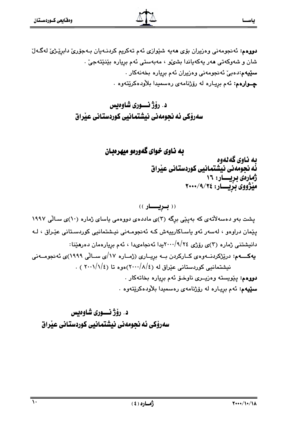دووهم: ئەنجومەنى وەزيران بۆي ھەيە شێوازى ئەم تەكريم كردنـەيان بـەجۆرى دابرێـژى لەگـەل شان و شەوكەتى ھەر يەكەياندا بشى، ، مەبەستى ئەم بريارە بێنێتەجىٚ ٠ **سێۑه،:**دەبیٚ ئەنجومەنی وەزیران ئەم بریارە بخەنەكار . چـوارهم: ئەم بږيـاره لە رۆژنامەي رەسميدا بلاّودەكرێتەوە .

> د. رۆژنسورى شاوەىس سەرۆكى ئە نجومەنى نېشتمانيى كوردستانى عيراق

> > به ناوي خواي گهورهو ميهرهبان

به ناوی گه لهوه ئُه نجومهني نيشتمانيي كوردستاني عيْراق ژمارهی بریسیار: ۱۶ مێژووی بریــــار: ٢٠٠٠/٩/٢٤

((بريسار))

یشت بهو دهسهلاتهی که بهینی برگه (۳)ی ماددهی دووهمی یاسای ژماره (۱۰)ی سالی ۱۹۹۷ یێمان دراوەو ، لەسەر ئەو ياسـاكاريپەش كـە ئەنجومـەنى نیـشتمانیى كوردسـتانى عێـراق ، لـە دانیشتنی ژماره (۳)ی رۆژی ۲۰۰/۹/۲٤پدا ئەنجامىدا ، ئەم بريارەمان دەرھێنا: پهکـــهم: درێژکردنــهوهي کــارکردن بــه بريــاري (ژمــاره ۱۷/ي ســالّي ۱۹۹۹)ي ئهنجومــهني نیشتمانیی کوردستانی عیّراق له (٢٠٠٠/٨/٤) هوه تا (٢٠٠١/١/٤) . دووهم: يێويسته وهزيــرى ناوخــوّ ئهم برياره بخاتهكار . **سێیهم:** ئهم بږیـاره له رۆژنامهی رەسمیدا بلاّودەكرێتەوە .

د. رۆژنسورى شاوەيس سەرۆكى ئە نجومەنى نيشتمانيى كوردستانى عيراق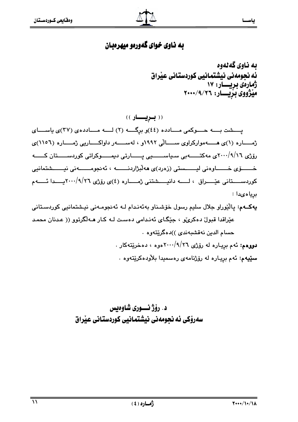### به ناوي خواي گهورمو ميهرمبان

ىە ناوي گەنەوە ئه نجومهني نيشتمانيي كوردستاني عيراق ژمارەي بريسسار: ۱۷ مَيْزُوُوي بِزْيِّـــار: ٢٠٠٠/٩/٢٦

((بريسار)) یسشت به حسوکمی مسادده (٤٤)و برگه (٢) لسه مسادده ی (٣٧)ی یاسسای ژمــــاره (۱)ی هـــــهموارکراوی ســـــالّی ۱۹۹۲و ، لهســـــهر داواکـــــاریی ژمــــاره (۱۱۰۲)ی رۆژی ۲۰۰/۹/۱٦ی مەكتــــــەبی سـياســـــــيی پـــــــارتی دیمــــــوكراتی كوردســـــتان كــــــه خــــــــوّي خـــــــــاوهني ليــــــــستي (زهرد)ي هه لُبِرْاردنــــــــه ، ئه نجومــــــــهني نيـــــــشتمانيي كوردســــتانى عيْــــراق ، لـــــــه دانيـــــشتنى ژمـــــاره (٤)ى رۆژى ٢٠٠٠/٩/٢٦يــــدا ئــــــهم برياه ىدا :

يەكــەم: پاڵێوراو جلال سليم رسول خۆشـناو بەئەنـدام لــە ئەنجومــەنى نيـشتمانيى كوردسـتانى عێراقدا قبولٌ دهکریٌو ، جێِگای ئەندامی دەست لـه کـار هـهڵگرتوو (( عـدنان محمـد حسام الدين نەقشبەندى ))دەگريتەوە . دووهم: ئهم برياره له رۆژى ٢٦/١٩/٢٦موه ، دهخرينتهكار . س**ێپ**هم: ئهم برِيـاره له رۆژنامهى رەسمىدا بلاّودەكرێتەوە .

> د. رۆژنسوري شاوەبس سەرۆكى ئە نجومەنى نيشتمانيى كوردستانى عيراق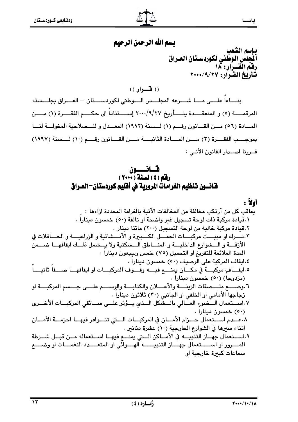، م

# بسم الله الرحمن الرحيم

بإسم الشعب .<br>أيلجلس الوطني لكوردسـتـان العـراق<br>رفـّم القــرار: ١٨<br>تـأريخ القـرار: ٢٧/٩/٢٧

 $($ ( فسوار)

بنــــاءاً علــــي مــــا شـــــرعه المجلــــس الــــوطني لكوردســــتان — العــــراق بجلـــسته المرقمـــــة (٥) و المنعقــــدة يتـــــأريخ ٢٠٠/٩/٢٧ إســــتناداً الى حكــــم الفقــــرة (١) مـــــن المسادة (٥٦) مـن القـانون رقـم (١) لـسنة (١٩٩٢) المعـدل و للـملاحية المخولـة لنـا بموجـــب الفقـــرة (٣) مــــن المـــادة الثانيــــة مــــن القـــانون رقــــم (١٠) لـــسنة (١٩٩٧) قــربنا اصــدار القانون الأتــى :

# قسانــــــــون<br>رقم (٤) لسنة (٢٠٠٠ ) قـّانـــون تـنظيم الغرامات المرورية في أفليم كوردستان—العــراق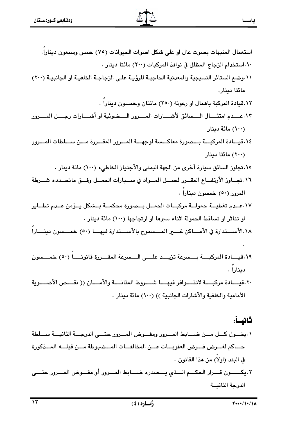- استعمال المنبهات بصوت عال او على شكل اصوات الحيوانات (٧٥) خمس وسبعون دينارا. ١٠.استخدام الزجاج المظلل في نوافذ المركبات (٢٠٠) مائتا دينار . ١١.وضع الستائر النسيجية والمعدنية الحاجبـة للرؤيـة علـى الزجاجـة الخلفيـة او الجانبيـة (٢٠٠) مائتا دىنار . ٠١٢قيادة المركبة باهمال او رعونة (٢٥٠) مائتان وخمسون دينارا . ٠١٣ عـــدم امتثــــال الــــسائق لأشــــارات المــــرور الــــضوئية او أشــــارات رجــــل المــــرور (۱۰۰) مائة دينار ١٤.قيــادة المركبـــة بـــصورة معاكـــسة لوجهـــة المـــرور المقـــررة مـــن ســـلطات المـــرور (۲۰۰) مائتا دینار ١٥.تجاوز السائق سيارة أخرى من الجهة اليمني والأجتياز الخاطيء (١٠٠) مائة دينار . ٠١٦.تجــاوز الأرتفــاع المقــرر لحمــل المــواد في ســيارات الحمــل وفــق ماتحــدده شــرطة المرور (٥٠) خمسون دينارا . ١٧.عــدم تغطيـــة حمولـــة مركبـــات الحمــل بــصورة محكمــة بــشكل بــؤمن عــدم تطــاير او تناثر او تساقط الحمولة اثناء سىرها او ارتجاجها (١٠٠) مائة دينار . ١٠١٨لأســــتدارة في الأمــــاكن غــــــر المــــسموح بالأســـتدارة فيهــــا (٥٠) خمــــسون دينــــارا ١٩.قيسادة المركبة بسسرعة تزيسد علسى السسرعة المقسررة قانونسا (٥٠) خمسسون
- دينارا . ٢٠.قيــادة مركبـــة لاتتـــوافر فيهـــا شـــروط المتانـــة والأمـــان (( نقـــص الأضـــوية الأمامية والخلفية والأشارات الجانبية )) (١٠٠) مائة دينار .

### ثانساً:

٠.يخــول كـــل مـــن ضـــابط المـــرور ومفـــوض المـــرور حتـــي الدرجـــة الثانيـــة ســـلطة حساكم لغسرض فسرض العقوبسات عسن المخالفسات المسضبوطة مسن قبلسه المسذكورة في البند (اولا) من هذا القانون . ٢.يكـــــون قـــرار الحكـــم الـــذى يـــصدره ضــــابط المـــرور أو مفـــوض المـــرور حتــــى

 $Y$ \*\*\*/1\*/1A

الدرجة الثانيــة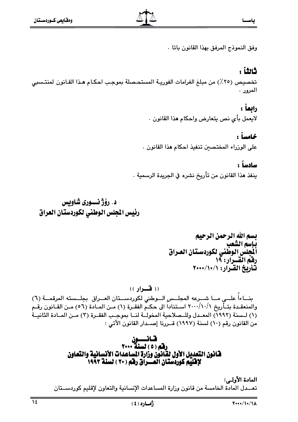وفق النموذج المرفق بهذا القانون باتا .

### ثانثاً :

تخصيص (٢٥٪) من مبلغ الغرامات الفوريـة المستحـصلة بموجب احكـام هـذا القـانون لمنتـسبي المرور .

### رابعاً :

لايعمل بأي نص يتعارض واحكام هذا القانون .

### خامساً :

على الوزراء المختصين تنفيذ احكام هذا القانون .

### سادساً :

ينفذ هذا القانون من تأريخ نشره في الجريدة الرسمية .

## د. رؤژ نـــوري شاويس رئيس المجلس الوطنى لكوردستان العراق

بسم الله الرحمن الرحيم بإسم الشعب .<br>أنجلس الوطني لكوردستان العـراق<br>رفم القــرار: ١٩ تَأْرِيَخُ الصَّرَارِ: ١٠٠١/١٠/١

(( فسوار )) بناءاً علـى مـا شـرعه المجلـس الـوطني لكوردسـتان العـراق بجلـسته المرقمـة (٦) والمنعقـدة بتـأَّريخ ٢٠٠٠/١٠/١ اسـتناداً الى حكـمِّ الفقـرة (١) مـن المـادة (٥٦) مـن القـانون رقـم (١) لـسنة (٢٩٩٢) المعـدل وللـصلاحية المخولــة لنــا بموجـب الفقـرة (٣) مـن المـادة الثانيــة من القانون رقم (١٠) لسنة (١٩٩٧) قــررنا إصــدار القانون الأتي :

# قسانـــــــــون<br>رقم ( ٥ ) لسنة ٢٠٠٠ فانون التعديل الأول لقانون وزارة المساعدات الأنسانية والتعاون لإِقْلَيْمِ كُورْدَسْتَانْ الْعَــْرِاْقْ رِفْمِ ( ٢٠ ) لسنة ١٩٩٣.

المادة الأولى: تعــدل المادة الخامسة من قانون وزارة المساعدات الإنسانية والتعاون لإقليم كوردســتان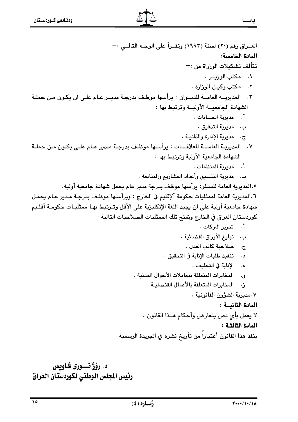العـراق رقم (٢٠) لسنة (١٩٩٣) وتقـرأ على الوجـه التالــى :-المادة الخامسة: تتألف تشكيلات الوزراة من :— ٠. مكتب الوزيير ٠ ٢. مكتب وكيل الوزارة . ٣. المديريــة العامــة للديــوان : يرأسها موظـف بدرجـة مديــر عـام علـى ان يكـون مـن حملـة الشهادة الحامعبة الأولبة وترتبط بها: أ. مديرية الحسابات . ب. مديرية التدقيق . ج. مديرية الإدارة والذاتيـة . ٧. المديريـة العامـــة للعلاقـــات : يرأسـها موظـف بدرجـة مـدير عـام علـى يكـون مـن حملـة الشهادة الحامعية الأولية وترتبط بها : أ. مديرية المنظمات . ب. مديرية التنسيق وأعداد المشاريع والمتابعة . ١.٥.المديرية العامة للسـفر: يرأسها موظف بدرجة مدير عام يحمل شهادة جامعية أولية. ٦.المديرية العامة لممثليات حكومة ألإقليم في الخارج : ويرأسـها موظـف بدرجـة مـدير عـام يحمـل شهادة جامعية أولية على ان يجيد اللغة الإنكليزية على الأقل وتـرتبط بهـا ممثليـات حكومـة أقلـيم كوريستان العراق في الخارج وبتمنح تلك الممثليات الصلاحيات التالية : أ. تحرير التركات . بِ. تبليغ الأوراق القضائية . ج. صلاحية كاتب العدل . د. تنفيذ طلبات الإنابة في التحقيق . ه. الإنابة في التحليف . و. المخابرات المتعلقة بمعاملات الأحوال المدنبة . ز. المخابرات المتعلقة بالأعمال القنصليـة . ٠.مديرية الشؤون القانونية ٠ المادة الثانيــة : لا يعمل بأي نص يتعارض وأحكام هــذا القانون . المادة الثالثـة : ينفذ هذا القانون أعتباراً من تأريخ نشره في الجريدة الرسمية .

د. رۆژ نـــورى شاويس رئيس المجلس الوطنى لكوردستان العراق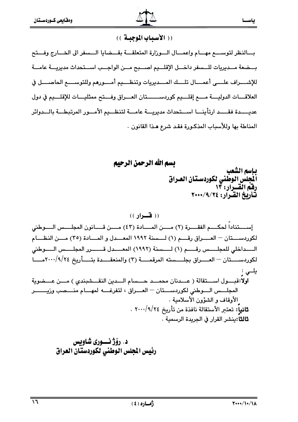

ياس

### (( الأسباب الموجبة))

بسالنظر لتوسسع مهسام واعمسال السوزارة المتعلقسة بقسضايا السسفر الى الخسارج وفستح بــضعة مــديريات للــسفر داخـــل الإقلـــيم اصـــبح مـــن الواجـــب اســتحداث مديريـــة عامـــة للإشـــــراف علــــــى أعمـــــال تلــــك المـــــديريات وتنظــــيم أمـــــورهم وللتوســـــم الحاصـــــل في العلاقــات الدوليـــة مـــع إقلـــيم كوردســــــتان العـــراق وفـــتح ممثليــات للإقلـــيم في دول عديــــدة فقــــد ارتأينـــا اســـتحداث مديريـــة عامـــة لتنظـــيم الأمـــور المرتبطـــة بالـــدوائر المناطة بها وللأسباب المذكورة فقد شرع هذا القانون .

بسم الله الرحمن الرحيم

بإسم الشعب أأجلس الوطني لكوردستان العراق .<br>رفق القسرار: ۱۳<br>نـاريخ القـرار: ۷۰۰/۹/۲٤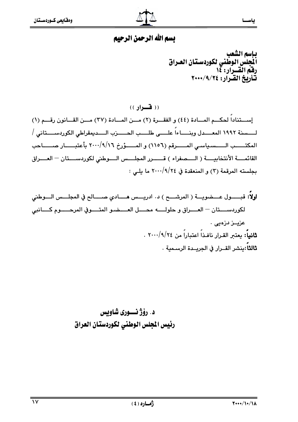### بسم الله الرحمن الرحيم

بإسم الشعب ألمجلس الوطنى لكوردستان العراق رِفَمُ الْقَسْرَارِ: ١٤ تَّأْرِيْخُ الصَّرِارِ: ٢٠٠٠/٩/٢٤

 $( )$  (( فسواد ))

إستناداً لحكــم المــادة (٤٤) و الفقــرة (٢) مــن المــادة (٣٧) مــن القــانون رقــم (١) لـــــسنة ١٩٩٢ المعــــدل وبنـــــاءاً علـــــي طلـــــب الـحـــــــزب الـــــديمقراطي الكوردســـــتاني / المكتــــب الــــسياسي المــــرقم (١١٥٦) و المــــؤرخ ٢٠٠٠/٩/١٦ بأعتبــــار صـــــاحب القائمـــة الأنتخابيـــة (الــــصفراء ) قــــــرر المجلــــس الــــوطني لكوردســــتان – العــــراق بجلسته المرقمة (٢) و المنعقدة في ٢٠٠٠/٩/٢٤ ما يلي :

د. رۆژ نـــورى شاويس رئيس المجلس الوطني لكوردستان العراق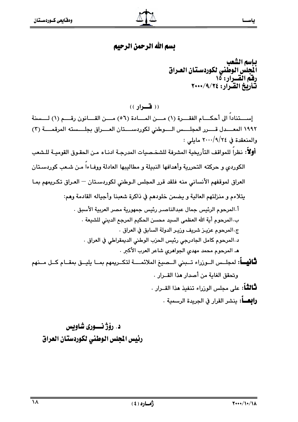### بسم الله الرحمن الرحيم

باسم الشعب أنأجلس الوطنى لكوردستان العراق رِفَمُ الْقَسْرَارِ: 10 تأريخ القرآر: ٢٠٠٠/٩/٢٠٠٠

(( فسيراد ))

اِســـتناداً الى أحكـــام الفقـــرة (١) مـــن المـــادة (٥٦) مـــن القـــانون رقـــم (١) لـــسنة ١٩٩٢ المعـــدل قــــرر المجلــــس الــــوطني لكوردســــتان العــــراق بجلـــسته المرقمــــة (٣) والمنعقدة في ٢٠٠٠/٩/٢٤ مايلي : أولاً: نظراً للمواقف التأريخية المشرفة للشخـصيات المدرجـة ادنـاه مـن الحقـوق القوميـة للـشعب الكوردي و حركته التحررية وأهدافها النبيلة و مطاليبها العادلة ووفــاءا مـن شـعب كوردسـتان العراق لموقفهم الأنساني منه فلقد قرر المجلس الـوطني لكوردسـتان — العـراق تكـريمهم بمـا يتلاءم و منزلتهم العالية و يضمن خلودهم في ذاكرة شعبنا وأجياله القادمة وهم: أ المرحوم الرئيس جمال عبدالناصـر رئيس جمهورية مصر العربية الأسبق . ب.المرحوم أية الله العظمى السيد محسن الحكيم المرجع الديني للشيعة . ج المرحوم عزيـز شريف وزيـر الدولة السابق في العراق . د المرحوم كامل الجادرجي رئيس الحزب الوطني الديمقراطي في العراق . هـ المرحوم محمد مهدى الجواهري شاعر العرب الأكبر . **ثَـانيــــاً**: لمجلــس الــوزراء تــبنى الــصيغ الملائمــــة لتكــريمهم بمــا يليــق بمقــام كــل مــنهم ويتحقق الغابة من أصدار هذا القــرار . **ثَّالثُّاً:** على مجلس الوزراء تنفيذ هذا القــرار . **رابعـــاً**: ينشر القرار في الجريدة الرسمية .

د. رۆژنسسورى شاوبس رئيس الجلس الوطني لكوردستان العراق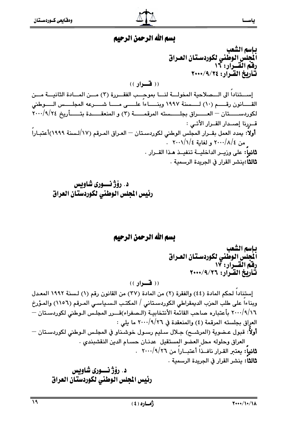#### بسم الله الرحمن الرحيم

باسم الشعب أيجلس الوطني لكوردستان العـراق رفه القرار: ١٦ تناربخ القرار: ٢٠٠٠/٩/٢٠٠٠  $($ ( فسوار )) إستناداً الى الـــصلاحية المخولـــة لنـــا بموجِــب الفقـــررة (٣) مـــن المـــادة الثانيـــة مـــن القـــانون رقــــم (١٠) لــــسنة ١٩٩٧ وبنــــاءاً علــــى مــــا شــــرعه المجلــــس الــــوطنى لكوردســـــتان - العـــــراق بجلـــــسته المرقمـــــة (٣) و المنعقـــــدة بتـــــأريخ ٢٠٠٠/٩/٢٤ قــررنا إصــدار القــرار الأتــى : أولاً: يمدد العمل بقــرار المجلس الوطني لكوردسـتان — العـراق المـرقم (١٧/لـسنة ١٩٩٩)أعتبـاراً ِ من ٢٠٠٠/٨/٤ و لغاية ٢٠٠١/١/٤ . **ثانياً:** على وزيــر الداخليــة تنفيــذ هـذا القــرار . **ثالثا:**بِنشر القرار في الجريدة الرسمية .

د. رۆژ نسورى شاوبس رئيس المجلس الوطنى لكوردستان العراق

بسم الله الرحمن الرحيم

بإسم الشعب أنأجلس الوطنى لكوردستان العراق رفقم القسرار: ١٧ تَنَارِيخ القَـرار: ٢٠٠٠/٩/٢٦

 $($ ( فسواد ))

إستناداً لحكم المادة (٤٤) والفقرة (٢) من المادة (٣٧) من القانون رقم (١) لـسنة ١٩٩٢ المعـدل وبناءاً على طلب الحزب الديمقراطي الكوردسـتاني / المكتـب الـسـياسـي المـرقم (١١٥٦) والمـؤرخ ٢٠٠٠/٩/١٦ بأعتباره صاحب القائمة الأنتخابيـة (الـصفراء)قـــرر المجلـس الـوطني لكوردسـتان — العراق بجلسته المرقمة (٤) والمنعقدة في ٢٠٠/٩/٢٦ ما يلي : أولاً: قبول عـضوية (المرشــح) جـلال سـليم رسـول خوشـناو في المجلـس الـوطني لكوردسـتان — العراق وحلوله محل العضو المستقيل عدنان حسام الدين النقشبندى . ثانياً: يعتبر القرار نافـذاً أعتبــاراً من ٢٦/٩/٢٦ . **ثالثا:** بنشر القرار في الحريدة الرسمية .